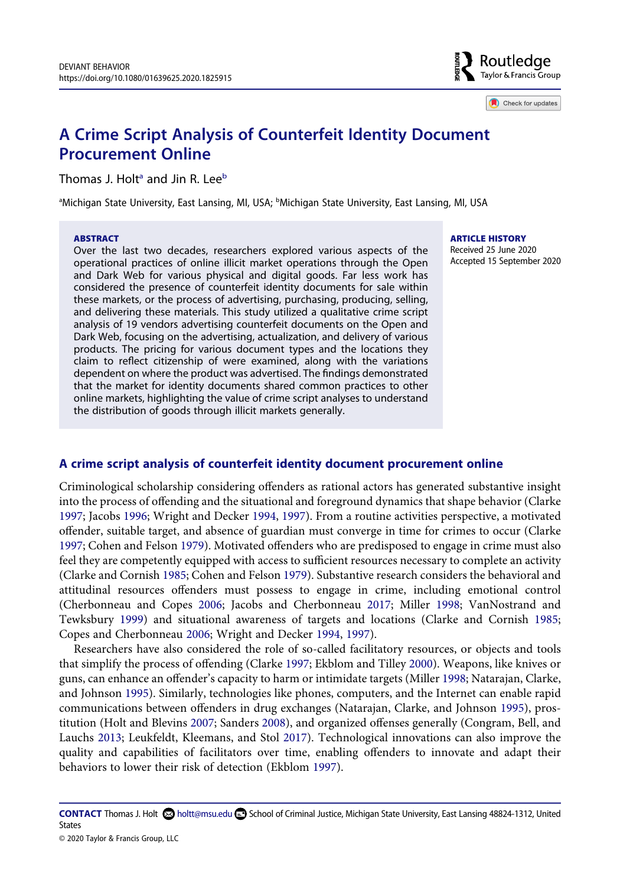

Check for updates

# **A Crime Script Analysis of Counterfeit Identity Document Procurement Online**

Thomas J. Holt<sup>a</sup> and Jin R. Lee<sup>[b](#page-0-0)</sup>

<span id="page-0-0"></span>Michigan State University, East Lansing, MI, USA; bMichigan State University, East Lansing, MI, USA

#### **ABSTRACT**

Over the last two decades, researchers explored various aspects of the operational practices of online illicit market operations through the Open and Dark Web for various physical and digital goods. Far less work has considered the presence of counterfeit identity documents for sale within these markets, or the process of advertising, purchasing, producing, selling, and delivering these materials. This study utilized a qualitative crime script analysis of 19 vendors advertising counterfeit documents on the Open and Dark Web, focusing on the advertising, actualization, and delivery of various products. The pricing for various document types and the locations they claim to reflect citizenship of were examined, along with the variations dependent on where the product was advertised. The findings demonstrated that the market for identity documents shared common practices to other online markets, highlighting the value of crime script analyses to understand the distribution of goods through illicit markets generally.

**ARTICLE HISTORY**  Received 25 June 2020

Accepted 15 September 2020

# **A crime script analysis of counterfeit identity document procurement online**

<span id="page-0-9"></span>Criminological scholarship considering offenders as rational actors has generated substantive insight into the process of offending and the situational and foreground dynamics that shape behavior (Clarke [1997](#page-16-0); Jacobs [1996;](#page-16-1) Wright and Decker [1994](#page-17-0), [1997](#page-17-1)). From a routine activities perspective, a motivated offender, suitable target, and absence of guardian must converge in time for crimes to occur (Clarke [1997](#page-16-0); Cohen and Felson [1979\)](#page-16-2). Motivated offenders who are predisposed to engage in crime must also feel they are competently equipped with access to sufficient resources necessary to complete an activity (Clarke and Cornish [1985](#page-16-3); Cohen and Felson [1979\)](#page-16-2). Substantive research considers the behavioral and attitudinal resources offenders must possess to engage in crime, including emotional control (Cherbonneau and Copes [2006;](#page-15-0) Jacobs and Cherbonneau [2017;](#page-16-4) Miller [1998;](#page-17-2) VanNostrand and Tewksbury [1999\)](#page-17-3) and situational awareness of targets and locations (Clarke and Cornish [1985;](#page-16-3) Copes and Cherbonneau [2006;](#page-16-5) Wright and Decker [1994](#page-17-0), [1997\)](#page-17-1).

<span id="page-0-11"></span><span id="page-0-10"></span><span id="page-0-8"></span><span id="page-0-7"></span><span id="page-0-6"></span><span id="page-0-5"></span><span id="page-0-4"></span><span id="page-0-3"></span><span id="page-0-2"></span><span id="page-0-1"></span>Researchers have also considered the role of so-called facilitatory resources, or objects and tools that simplify the process of offending (Clarke [1997](#page-16-0); Ekblom and Tilley [2000\)](#page-16-6). Weapons, like knives or guns, can enhance an offender's capacity to harm or intimidate targets (Miller [1998;](#page-17-2) Natarajan, Clarke, and Johnson [1995\)](#page-17-4). Similarly, technologies like phones, computers, and the Internet can enable rapid communications between offenders in drug exchanges (Natarajan, Clarke, and Johnson [1995](#page-17-4)), prostitution (Holt and Blevins [2007](#page-16-7); Sanders [2008](#page-17-5)), and organized offenses generally (Congram, Bell, and Lauchs [2013;](#page-16-8) Leukfeldt, Kleemans, and Stol [2017\)](#page-16-9). Technological innovations can also improve the quality and capabilities of facilitators over time, enabling offenders to innovate and adapt their behaviors to lower their risk of detection (Ekblom [1997](#page-16-10)).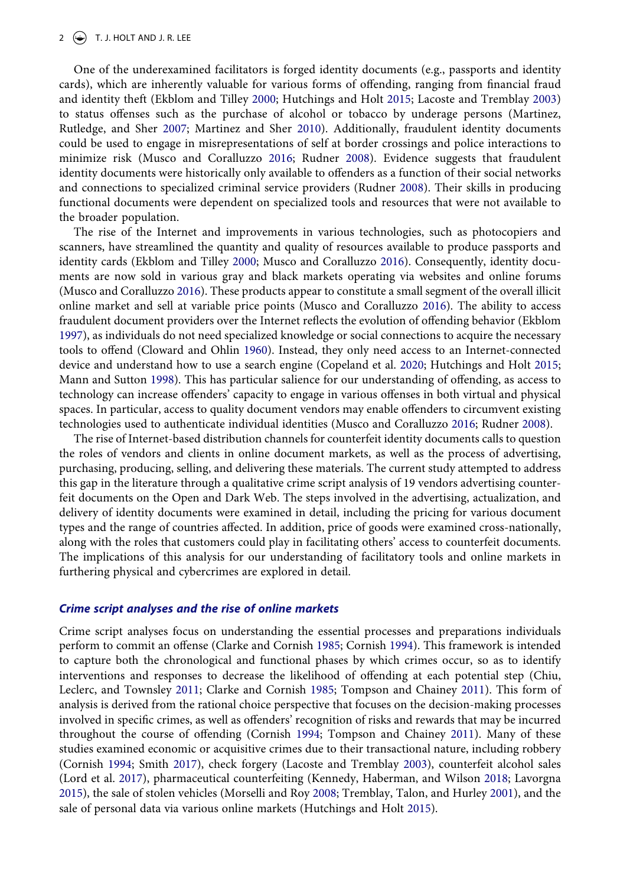### 2  $\left(\frac{1}{2}\right)$  T. J. HOLT AND J. R. LEE

<span id="page-1-7"></span>One of the underexamined facilitators is forged identity documents (e.g., passports and identity cards), which are inherently valuable for various forms of offending, ranging from financial fraud and identity theft (Ekblom and Tilley [2000](#page-16-6); Hutchings and Holt [2015](#page-16-11); Lacoste and Tremblay [2003\)](#page-16-12) to status offenses such as the purchase of alcohol or tobacco by underage persons (Martinez, Rutledge, and Sher [2007;](#page-17-6) Martinez and Sher [2010\)](#page-17-7). Additionally, fraudulent identity documents could be used to engage in misrepresentations of self at border crossings and police interactions to minimize risk (Musco and Coralluzzo [2016;](#page-17-8) Rudner [2008](#page-17-9)). Evidence suggests that fraudulent identity documents were historically only available to offenders as a function of their social networks and connections to specialized criminal service providers (Rudner [2008](#page-17-9)). Their skills in producing functional documents were dependent on specialized tools and resources that were not available to the broader population.

The rise of the Internet and improvements in various technologies, such as photocopiers and scanners, have streamlined the quantity and quality of resources available to produce passports and identity cards (Ekblom and Tilley [2000](#page-16-6); Musco and Coralluzzo [2016](#page-17-8)). Consequently, identity documents are now sold in various gray and black markets operating via websites and online forums (Musco and Coralluzzo [2016](#page-17-8)). These products appear to constitute a small segment of the overall illicit online market and sell at variable price points (Musco and Coralluzzo [2016\)](#page-17-8). The ability to access fraudulent document providers over the Internet reflects the evolution of offending behavior (Ekblom [1997](#page-16-10)), as individuals do not need specialized knowledge or social connections to acquire the necessary tools to offend (Cloward and Ohlin [1960](#page-16-13)). Instead, they only need access to an Internet-connected device and understand how to use a search engine (Copeland et al. [2020](#page-16-14); Hutchings and Holt [2015;](#page-16-11) Mann and Sutton [1998](#page-16-15)). This has particular salience for our understanding of offending, as access to technology can increase offenders' capacity to engage in various offenses in both virtual and physical spaces. In particular, access to quality document vendors may enable offenders to circumvent existing technologies used to authenticate individual identities (Musco and Coralluzzo [2016](#page-17-8); Rudner [2008\)](#page-17-9).

<span id="page-1-9"></span><span id="page-1-6"></span><span id="page-1-2"></span><span id="page-1-1"></span>The rise of Internet-based distribution channels for counterfeit identity documents calls to question the roles of vendors and clients in online document markets, as well as the process of advertising, purchasing, producing, selling, and delivering these materials. The current study attempted to address this gap in the literature through a qualitative crime script analysis of 19 vendors advertising counterfeit documents on the Open and Dark Web. The steps involved in the advertising, actualization, and delivery of identity documents were examined in detail, including the pricing for various document types and the range of countries affected. In addition, price of goods were examined cross-nationally, along with the roles that customers could play in facilitating others' access to counterfeit documents. The implications of this analysis for our understanding of facilitatory tools and online markets in furthering physical and cybercrimes are explored in detail.

### *Crime script analyses and the rise of online markets*

<span id="page-1-10"></span><span id="page-1-8"></span><span id="page-1-5"></span><span id="page-1-4"></span><span id="page-1-3"></span><span id="page-1-0"></span>Crime script analyses focus on understanding the essential processes and preparations individuals perform to commit an offense (Clarke and Cornish [1985;](#page-16-3) Cornish [1994\)](#page-16-16). This framework is intended to capture both the chronological and functional phases by which crimes occur, so as to identify interventions and responses to decrease the likelihood of offending at each potential step (Chiu, Leclerc, and Townsley [2011](#page-16-17); Clarke and Cornish [1985;](#page-16-3) Tompson and Chainey [2011](#page-17-10)). This form of analysis is derived from the rational choice perspective that focuses on the decision-making processes involved in specific crimes, as well as offenders' recognition of risks and rewards that may be incurred throughout the course of offending (Cornish [1994;](#page-16-16) Tompson and Chainey [2011\)](#page-17-10). Many of these studies examined economic or acquisitive crimes due to their transactional nature, including robbery (Cornish [1994](#page-16-16); Smith [2017](#page-17-11)), check forgery (Lacoste and Tremblay [2003](#page-16-12)), counterfeit alcohol sales (Lord et al. [2017\)](#page-16-18), pharmaceutical counterfeiting (Kennedy, Haberman, and Wilson [2018;](#page-16-19) Lavorgna [2015](#page-16-20)), the sale of stolen vehicles (Morselli and Roy [2008](#page-17-12); Tremblay, Talon, and Hurley [2001\)](#page-17-13), and the sale of personal data via various online markets (Hutchings and Holt [2015](#page-16-11)).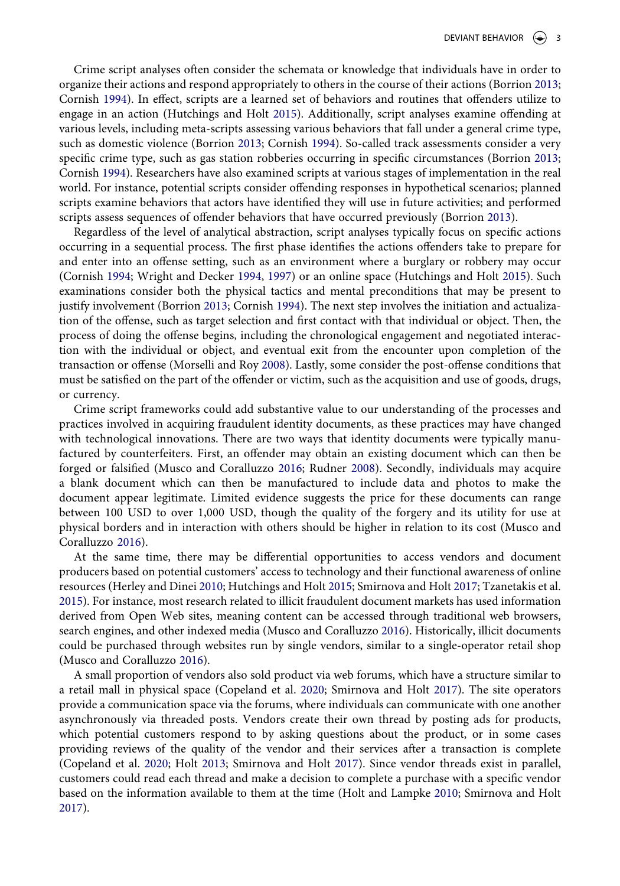Crime script analyses often consider the schemata or knowledge that individuals have in order to organize their actions and respond appropriately to others in the course of their actions (Borrion [2013;](#page-15-1) Cornish [1994](#page-16-16)). In effect, scripts are a learned set of behaviors and routines that offenders utilize to engage in an action (Hutchings and Holt [2015](#page-16-11)). Additionally, script analyses examine offending at various levels, including meta-scripts assessing various behaviors that fall under a general crime type, such as domestic violence (Borrion [2013;](#page-15-1) Cornish [1994](#page-16-16)). So-called track assessments consider a very specific crime type, such as gas station robberies occurring in specific circumstances (Borrion [2013;](#page-15-1) Cornish [1994](#page-16-16)). Researchers have also examined scripts at various stages of implementation in the real world. For instance, potential scripts consider offending responses in hypothetical scenarios; planned scripts examine behaviors that actors have identified they will use in future activities; and performed scripts assess sequences of offender behaviors that have occurred previously (Borrion [2013](#page-15-1)).

<span id="page-2-0"></span>Regardless of the level of analytical abstraction, script analyses typically focus on specific actions occurring in a sequential process. The first phase identifies the actions offenders take to prepare for and enter into an offense setting, such as an environment where a burglary or robbery may occur (Cornish [1994](#page-16-16); Wright and Decker [1994](#page-17-0), [1997\)](#page-17-1) or an online space (Hutchings and Holt [2015\)](#page-16-11). Such examinations consider both the physical tactics and mental preconditions that may be present to justify involvement (Borrion [2013;](#page-15-1) Cornish [1994](#page-16-16)). The next step involves the initiation and actualization of the offense, such as target selection and first contact with that individual or object. Then, the process of doing the offense begins, including the chronological engagement and negotiated interaction with the individual or object, and eventual exit from the encounter upon completion of the transaction or offense (Morselli and Roy [2008\)](#page-17-12). Lastly, some consider the post-offense conditions that must be satisfied on the part of the offender or victim, such as the acquisition and use of goods, drugs, or currency.

Crime script frameworks could add substantive value to our understanding of the processes and practices involved in acquiring fraudulent identity documents, as these practices may have changed with technological innovations. There are two ways that identity documents were typically manufactured by counterfeiters. First, an offender may obtain an existing document which can then be forged or falsified (Musco and Coralluzzo [2016;](#page-17-8) Rudner [2008\)](#page-17-9). Secondly, individuals may acquire a blank document which can then be manufactured to include data and photos to make the document appear legitimate. Limited evidence suggests the price for these documents can range between 100 USD to over 1,000 USD, though the quality of the forgery and its utility for use at physical borders and in interaction with others should be higher in relation to its cost (Musco and Coralluzzo [2016\)](#page-17-8).

<span id="page-2-1"></span>At the same time, there may be differential opportunities to access vendors and document producers based on potential customers' access to technology and their functional awareness of online resources (Herley and Dinei [2010](#page-16-21); Hutchings and Holt [2015](#page-16-11); Smirnova and Holt [2017;](#page-17-14) Tzanetakis et al. [2015](#page-17-15)). For instance, most research related to illicit fraudulent document markets has used information derived from Open Web sites, meaning content can be accessed through traditional web browsers, search engines, and other indexed media (Musco and Coralluzzo [2016](#page-17-8)). Historically, illicit documents could be purchased through websites run by single vendors, similar to a single-operator retail shop (Musco and Coralluzzo [2016](#page-17-8)).

<span id="page-2-3"></span><span id="page-2-2"></span>A small proportion of vendors also sold product via web forums, which have a structure similar to a retail mall in physical space (Copeland et al. [2020;](#page-16-14) Smirnova and Holt [2017\)](#page-17-14). The site operators provide a communication space via the forums, where individuals can communicate with one another asynchronously via threaded posts. Vendors create their own thread by posting ads for products, which potential customers respond to by asking questions about the product, or in some cases providing reviews of the quality of the vendor and their services after a transaction is complete (Copeland et al. [2020;](#page-16-14) Holt [2013](#page-16-22); Smirnova and Holt [2017](#page-17-14)). Since vendor threads exist in parallel, customers could read each thread and make a decision to complete a purchase with a specific vendor based on the information available to them at the time (Holt and Lampke [2010](#page-16-23); Smirnova and Holt [2017](#page-17-14)).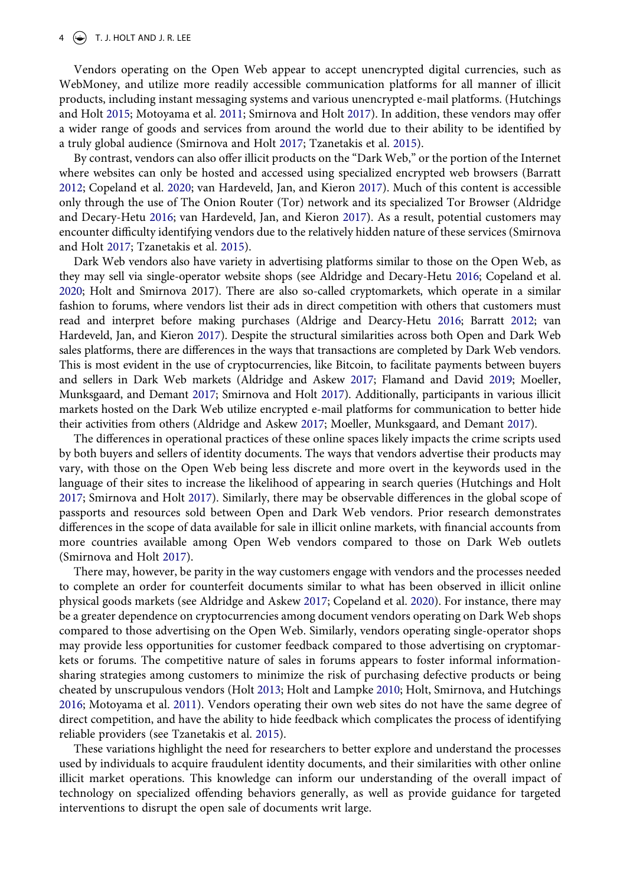#### $4 \leftrightarrow$  T. J. HOLT AND J. R. LEE

Vendors operating on the Open Web appear to accept unencrypted digital currencies, such as WebMoney, and utilize more readily accessible communication platforms for all manner of illicit products, including instant messaging systems and various unencrypted e-mail platforms. (Hutchings and Holt [2015;](#page-16-11) Motoyama et al. [2011;](#page-17-16) Smirnova and Holt [2017](#page-17-14)). In addition, these vendors may offer a wider range of goods and services from around the world due to their ability to be identified by a truly global audience (Smirnova and Holt [2017](#page-17-14); Tzanetakis et al. [2015\)](#page-17-15).

By contrast, vendors can also offer illicit products on the "Dark Web," or the portion of the Internet where websites can only be hosted and accessed using specialized encrypted web browsers (Barratt [2012](#page-15-2); Copeland et al. [2020](#page-16-14); van Hardeveld, Jan, and Kieron [2017\)](#page-17-17). Much of this content is accessible only through the use of The Onion Router (Tor) network and its specialized Tor Browser (Aldridge and Decary-Hetu [2016;](#page-15-3) van Hardeveld, Jan, and Kieron [2017\)](#page-17-17). As a result, potential customers may encounter difficulty identifying vendors due to the relatively hidden nature of these services (Smirnova and Holt [2017](#page-17-14); Tzanetakis et al. [2015\)](#page-17-15).

<span id="page-3-7"></span><span id="page-3-0"></span>Dark Web vendors also have variety in advertising platforms similar to those on the Open Web, as they may sell via single-operator website shops (see Aldridge and Decary-Hetu [2016](#page-15-3); Copeland et al. [2020;](#page-16-14) Holt and Smirnova 2017). There are also so-called cryptomarkets, which operate in a similar fashion to forums, where vendors list their ads in direct competition with others that customers must read and interpret before making purchases (Aldrige and Dearcy-Hetu [2016;](#page-15-3) Barratt [2012](#page-15-2); van Hardeveld, Jan, and Kieron [2017](#page-17-17)). Despite the structural similarities across both Open and Dark Web sales platforms, there are differences in the ways that transactions are completed by Dark Web vendors. This is most evident in the use of cryptocurrencies, like Bitcoin, to facilitate payments between buyers and sellers in Dark Web markets (Aldridge and Askew [2017;](#page-15-4) Flamand and David [2019](#page-16-24); Moeller, Munksgaard, and Demant [2017](#page-17-18); Smirnova and Holt [2017\)](#page-17-14). Additionally, participants in various illicit markets hosted on the Dark Web utilize encrypted e-mail platforms for communication to better hide their activities from others (Aldridge and Askew [2017;](#page-15-4) Moeller, Munksgaard, and Demant [2017](#page-17-18)).

<span id="page-3-5"></span><span id="page-3-4"></span><span id="page-3-2"></span>The differences in operational practices of these online spaces likely impacts the crime scripts used by both buyers and sellers of identity documents. The ways that vendors advertise their products may vary, with those on the Open Web being less discrete and more overt in the keywords used in the language of their sites to increase the likelihood of appearing in search queries (Hutchings and Holt [2017](#page-16-25); Smirnova and Holt [2017](#page-17-14)). Similarly, there may be observable differences in the global scope of passports and resources sold between Open and Dark Web vendors. Prior research demonstrates differences in the scope of data available for sale in illicit online markets, with financial accounts from more countries available among Open Web vendors compared to those on Dark Web outlets (Smirnova and Holt [2017](#page-17-14)).

<span id="page-3-1"></span>There may, however, be parity in the way customers engage with vendors and the processes needed to complete an order for counterfeit documents similar to what has been observed in illicit online physical goods markets (see Aldridge and Askew [2017](#page-15-4); Copeland et al. [2020\)](#page-16-14). For instance, there may be a greater dependence on cryptocurrencies among document vendors operating on Dark Web shops compared to those advertising on the Open Web. Similarly, vendors operating single-operator shops may provide less opportunities for customer feedback compared to those advertising on cryptomarkets or forums. The competitive nature of sales in forums appears to foster informal informationsharing strategies among customers to minimize the risk of purchasing defective products or being cheated by unscrupulous vendors (Holt [2013](#page-16-22); Holt and Lampke [2010](#page-16-23); Holt, Smirnova, and Hutchings [2016](#page-16-26); Motoyama et al. [2011](#page-17-16)). Vendors operating their own web sites do not have the same degree of direct competition, and have the ability to hide feedback which complicates the process of identifying reliable providers (see Tzanetakis et al. [2015](#page-17-15)).

<span id="page-3-6"></span><span id="page-3-3"></span>These variations highlight the need for researchers to better explore and understand the processes used by individuals to acquire fraudulent identity documents, and their similarities with other online illicit market operations. This knowledge can inform our understanding of the overall impact of technology on specialized offending behaviors generally, as well as provide guidance for targeted interventions to disrupt the open sale of documents writ large.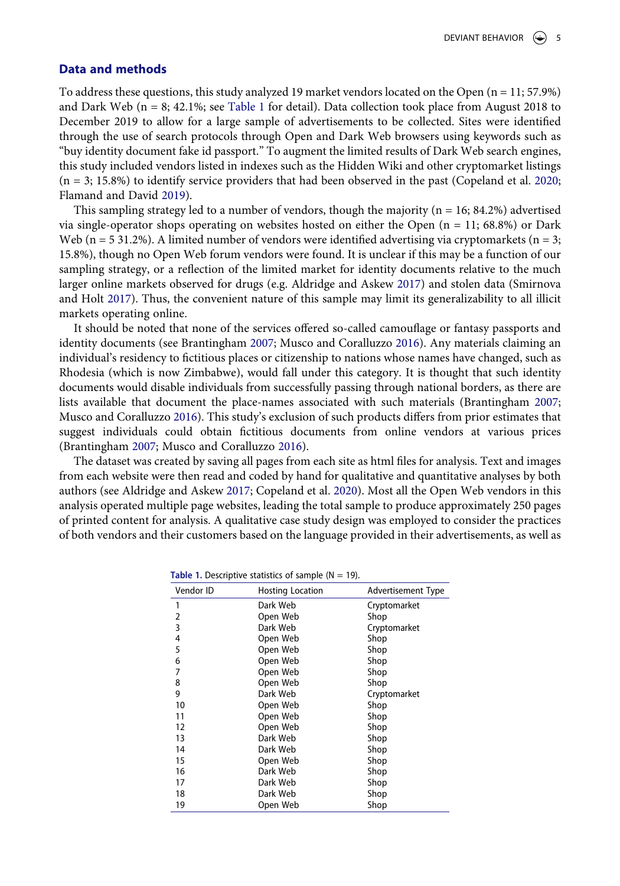# **Data and methods**

To address these questions, this study analyzed 19 market vendors located on the Open (n = 11; 57.9%) and Dark Web (n = 8; 42.1%; see [Table 1](#page-4-0) for detail). Data collection took place from August 2018 to December 2019 to allow for a large sample of advertisements to be collected. Sites were identified through the use of search protocols through Open and Dark Web browsers using keywords such as "buy identity document fake id passport." To augment the limited results of Dark Web search engines, this study included vendors listed in indexes such as the Hidden Wiki and other cryptomarket listings  $(n = 3; 15.8%)$  to identify service providers that had been observed in the past (Copeland et al. [2020;](#page-16-14) Flamand and David [2019\)](#page-16-24).

This sampling strategy led to a number of vendors, though the majority  $(n = 16, 84.2%)$  advertised via single-operator shops operating on websites hosted on either the Open  $(n = 11; 68.8%)$  or Dark Web ( $n = 531.2\%$ ). A limited number of vendors were identified advertising via cryptomarkets ( $n = 3$ ; 15.8%), though no Open Web forum vendors were found. It is unclear if this may be a function of our sampling strategy, or a reflection of the limited market for identity documents relative to the much larger online markets observed for drugs (e.g. Aldridge and Askew [2017](#page-15-4)) and stolen data (Smirnova and Holt [2017\)](#page-17-14). Thus, the convenient nature of this sample may limit its generalizability to all illicit markets operating online.

It should be noted that none of the services offered so-called camouflage or fantasy passports and identity documents (see Brantingham [2007;](#page-15-5) Musco and Coralluzzo [2016\)](#page-17-8). Any materials claiming an individual's residency to fictitious places or citizenship to nations whose names have changed, such as Rhodesia (which is now Zimbabwe), would fall under this category. It is thought that such identity documents would disable individuals from successfully passing through national borders, as there are lists available that document the place-names associated with such materials (Brantingham [2007;](#page-15-5) Musco and Coralluzzo [2016](#page-17-8)). This study's exclusion of such products differs from prior estimates that suggest individuals could obtain fictitious documents from online vendors at various prices (Brantingham [2007;](#page-15-5) Musco and Coralluzzo [2016](#page-17-8)).

<span id="page-4-1"></span>The dataset was created by saving all pages from each site as html files for analysis. Text and images from each website were then read and coded by hand for qualitative and quantitative analyses by both authors (see Aldridge and Askew [2017](#page-15-4); Copeland et al. [2020](#page-16-14)). Most all the Open Web vendors in this analysis operated multiple page websites, leading the total sample to produce approximately 250 pages of printed content for analysis. A qualitative case study design was employed to consider the practices of both vendors and their customers based on the language provided in their advertisements, as well as

| Vendor ID      | <b>Hosting Location</b> | <b>Advertisement Type</b> |
|----------------|-------------------------|---------------------------|
| 1              | Dark Web                | Cryptomarket              |
| $\overline{2}$ | Open Web                | Shop                      |
| 3              | Dark Web                | Cryptomarket              |
| 4              | Open Web                | Shop                      |
| 5              | Open Web                | Shop                      |
| 6              | Open Web                | Shop                      |
| 7              | Open Web                | Shop                      |
| 8              | Open Web                | Shop                      |
| 9              | Dark Web                | Cryptomarket              |
| 10             | Open Web                | Shop                      |
| 11             | Open Web                | Shop                      |
| 12             | Open Web                | Shop                      |
| 13             | Dark Web                | Shop                      |
| 14             | Dark Web                | Shop                      |
| 15             | Open Web                | Shop                      |
| 16             | Dark Web                | Shop                      |
| 17             | Dark Web                | Shop                      |
| 18             | Dark Web                | Shop                      |
| 19             | Open Web                | Shop                      |

<span id="page-4-0"></span>**Table 1.** Descriptive statistics of sample (N = 19).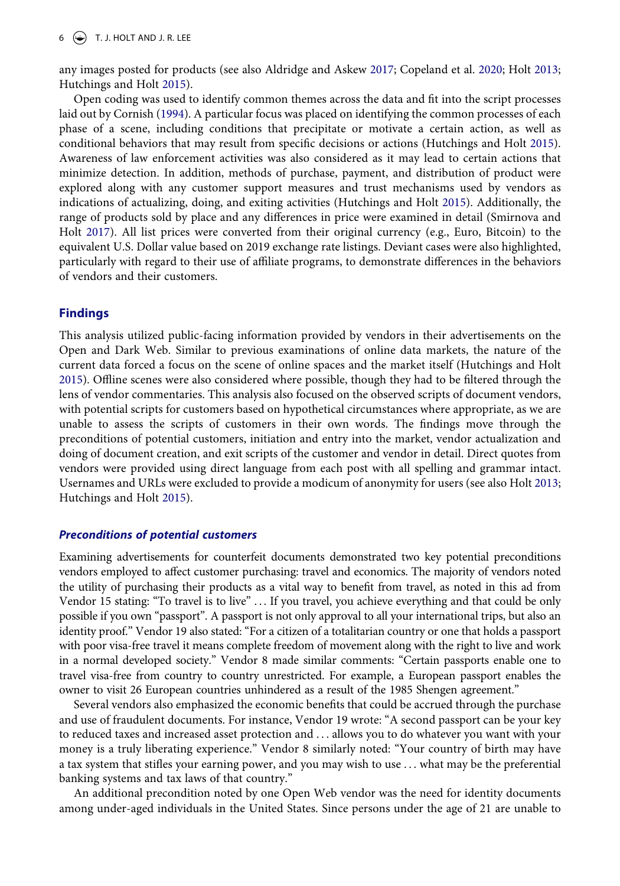any images posted for products (see also Aldridge and Askew [2017](#page-15-4); Copeland et al. [2020](#page-16-14); Holt [2013;](#page-16-22) Hutchings and Holt [2015](#page-16-11)).

Open coding was used to identify common themes across the data and fit into the script processes laid out by Cornish [\(1994\)](#page-16-16). A particular focus was placed on identifying the common processes of each phase of a scene, including conditions that precipitate or motivate a certain action, as well as conditional behaviors that may result from specific decisions or actions (Hutchings and Holt [2015](#page-16-11)). Awareness of law enforcement activities was also considered as it may lead to certain actions that minimize detection. In addition, methods of purchase, payment, and distribution of product were explored along with any customer support measures and trust mechanisms used by vendors as indications of actualizing, doing, and exiting activities (Hutchings and Holt [2015\)](#page-16-11). Additionally, the range of products sold by place and any differences in price were examined in detail (Smirnova and Holt [2017](#page-17-14)). All list prices were converted from their original currency (e.g., Euro, Bitcoin) to the equivalent U.S. Dollar value based on 2019 exchange rate listings. Deviant cases were also highlighted, particularly with regard to their use of affiliate programs, to demonstrate differences in the behaviors of vendors and their customers.

# **Findings**

This analysis utilized public-facing information provided by vendors in their advertisements on the Open and Dark Web. Similar to previous examinations of online data markets, the nature of the current data forced a focus on the scene of online spaces and the market itself (Hutchings and Holt [2015](#page-16-11)). Offline scenes were also considered where possible, though they had to be filtered through the lens of vendor commentaries. This analysis also focused on the observed scripts of document vendors, with potential scripts for customers based on hypothetical circumstances where appropriate, as we are unable to assess the scripts of customers in their own words. The findings move through the preconditions of potential customers, initiation and entry into the market, vendor actualization and doing of document creation, and exit scripts of the customer and vendor in detail. Direct quotes from vendors were provided using direct language from each post with all spelling and grammar intact. Usernames and URLs were excluded to provide a modicum of anonymity for users (see also Holt [2013;](#page-16-22) Hutchings and Holt [2015](#page-16-11)).

# *Preconditions of potential customers*

Examining advertisements for counterfeit documents demonstrated two key potential preconditions vendors employed to affect customer purchasing: travel and economics. The majority of vendors noted the utility of purchasing their products as a vital way to benefit from travel, as noted in this ad from Vendor 15 stating: "To travel is to live" . . . If you travel, you achieve everything and that could be only possible if you own "passport". A passport is not only approval to all your international trips, but also an identity proof." Vendor 19 also stated: "For a citizen of a totalitarian country or one that holds a passport with poor visa-free travel it means complete freedom of movement along with the right to live and work in a normal developed society." Vendor 8 made similar comments: "Certain passports enable one to travel visa-free from country to country unrestricted. For example, a European passport enables the owner to visit 26 European countries unhindered as a result of the 1985 Shengen agreement."

Several vendors also emphasized the economic benefits that could be accrued through the purchase and use of fraudulent documents. For instance, Vendor 19 wrote: "A second passport can be your key to reduced taxes and increased asset protection and . . . allows you to do whatever you want with your money is a truly liberating experience." Vendor 8 similarly noted: "Your country of birth may have a tax system that stifles your earning power, and you may wish to use . . . what may be the preferential banking systems and tax laws of that country."

An additional precondition noted by one Open Web vendor was the need for identity documents among under-aged individuals in the United States. Since persons under the age of 21 are unable to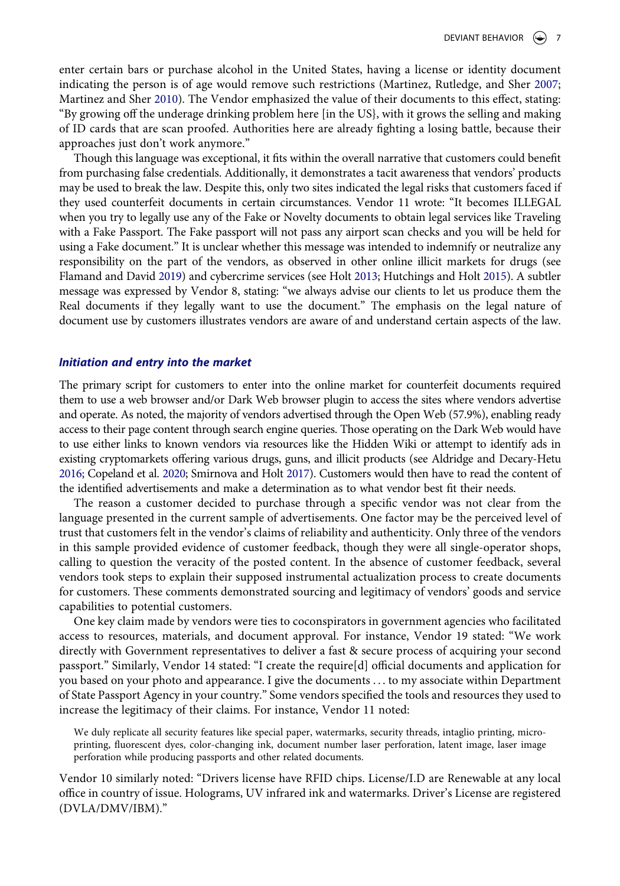enter certain bars or purchase alcohol in the United States, having a license or identity document indicating the person is of age would remove such restrictions (Martinez, Rutledge, and Sher [2007;](#page-17-6) Martinez and Sher [2010\)](#page-17-7). The Vendor emphasized the value of their documents to this effect, stating: "By growing off the underage drinking problem here [in the US}, with it grows the selling and making of ID cards that are scan proofed. Authorities here are already fighting a losing battle, because their approaches just don't work anymore."

Though this language was exceptional, it fits within the overall narrative that customers could benefit from purchasing false credentials. Additionally, it demonstrates a tacit awareness that vendors' products may be used to break the law. Despite this, only two sites indicated the legal risks that customers faced if they used counterfeit documents in certain circumstances. Vendor 11 wrote: "It becomes ILLEGAL when you try to legally use any of the Fake or Novelty documents to obtain legal services like Traveling with a Fake Passport. The Fake passport will not pass any airport scan checks and you will be held for using a Fake document." It is unclear whether this message was intended to indemnify or neutralize any responsibility on the part of the vendors, as observed in other online illicit markets for drugs (see Flamand and David [2019\)](#page-16-24) and cybercrime services (see Holt [2013;](#page-16-22) Hutchings and Holt [2015\)](#page-16-11). A subtler message was expressed by Vendor 8, stating: "we always advise our clients to let us produce them the Real documents if they legally want to use the document." The emphasis on the legal nature of document use by customers illustrates vendors are aware of and understand certain aspects of the law.

#### *Initiation and entry into the market*

The primary script for customers to enter into the online market for counterfeit documents required them to use a web browser and/or Dark Web browser plugin to access the sites where vendors advertise and operate. As noted, the majority of vendors advertised through the Open Web (57.9%), enabling ready access to their page content through search engine queries. Those operating on the Dark Web would have to use either links to known vendors via resources like the Hidden Wiki or attempt to identify ads in existing cryptomarkets offering various drugs, guns, and illicit products (see Aldridge and Decary-Hetu [2016;](#page-15-3) Copeland et al. [2020;](#page-16-14) Smirnova and Holt [2017](#page-17-14)). Customers would then have to read the content of the identified advertisements and make a determination as to what vendor best fit their needs.

The reason a customer decided to purchase through a specific vendor was not clear from the language presented in the current sample of advertisements. One factor may be the perceived level of trust that customers felt in the vendor's claims of reliability and authenticity. Only three of the vendors in this sample provided evidence of customer feedback, though they were all single-operator shops, calling to question the veracity of the posted content. In the absence of customer feedback, several vendors took steps to explain their supposed instrumental actualization process to create documents for customers. These comments demonstrated sourcing and legitimacy of vendors' goods and service capabilities to potential customers.

One key claim made by vendors were ties to coconspirators in government agencies who facilitated access to resources, materials, and document approval. For instance, Vendor 19 stated: "We work directly with Government representatives to deliver a fast & secure process of acquiring your second passport." Similarly, Vendor 14 stated: "I create the require[d] official documents and application for you based on your photo and appearance. I give the documents . . . to my associate within Department of State Passport Agency in your country." Some vendors specified the tools and resources they used to increase the legitimacy of their claims. For instance, Vendor 11 noted:

We duly replicate all security features like special paper, watermarks, security threads, intaglio printing, microprinting, fluorescent dyes, color-changing ink, document number laser perforation, latent image, laser image perforation while producing passports and other related documents.

Vendor 10 similarly noted: "Drivers license have RFID chips. License/I.D are Renewable at any local office in country of issue. Holograms, UV infrared ink and watermarks. Driver's License are registered (DVLA/DMV/IBM)."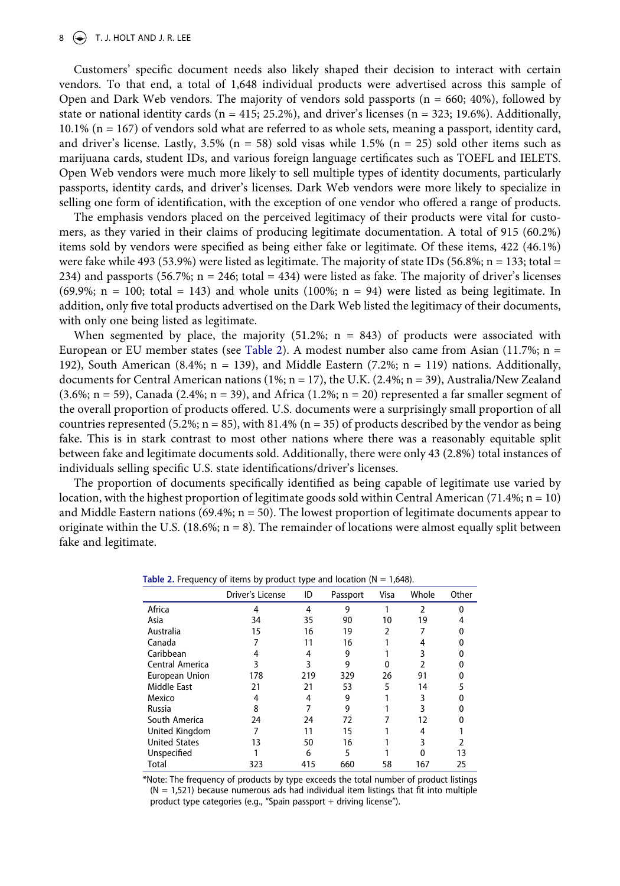Customers' specific document needs also likely shaped their decision to interact with certain vendors. To that end, a total of 1,648 individual products were advertised across this sample of Open and Dark Web vendors. The majority of vendors sold passports  $(n = 660; 40\%)$ , followed by state or national identity cards (n = 415; 25.2%), and driver's licenses (n = 323; 19.6%). Additionally,  $10.1\%$  (n = 167) of vendors sold what are referred to as whole sets, meaning a passport, identity card, and driver's license. Lastly,  $3.5\%$  (n = 58) sold visas while 1.5% (n = 25) sold other items such as marijuana cards, student IDs, and various foreign language certificates such as TOEFL and IELETS. Open Web vendors were much more likely to sell multiple types of identity documents, particularly passports, identity cards, and driver's licenses. Dark Web vendors were more likely to specialize in selling one form of identification, with the exception of one vendor who offered a range of products.

The emphasis vendors placed on the perceived legitimacy of their products were vital for customers, as they varied in their claims of producing legitimate documentation. A total of 915 (60.2%) items sold by vendors were specified as being either fake or legitimate. Of these items, 422 (46.1%) were fake while 493 (53.9%) were listed as legitimate. The majority of state IDs (56.8%;  $n = 133$ ; total = 234) and passports (56.7%;  $n = 246$ ; total = 434) were listed as fake. The majority of driver's licenses  $(69.9\%; n = 100; total = 143)$  and whole units  $(100\%; n = 94)$  were listed as being legitimate. In addition, only five total products advertised on the Dark Web listed the legitimacy of their documents, with only one being listed as legitimate.

When segmented by place, the majority  $(51.2\%; n = 843)$  of products were associated with European or EU member states (see [Table 2](#page-7-0)). A modest number also came from Asian (11.7%;  $n =$ 192), South American (8.4%;  $n = 139$ ), and Middle Eastern (7.2%;  $n = 119$ ) nations. Additionally, documents for Central American nations (1%;  $n = 17$ ), the U.K. (2.4%;  $n = 39$ ), Australia/New Zealand  $(3.6\%; n = 59)$ , Canada  $(2.4\%; n = 39)$ , and Africa  $(1.2\%; n = 20)$  represented a far smaller segment of the overall proportion of products offered. U.S. documents were a surprisingly small proportion of all countries represented (5.2%;  $n = 85$ ), with 81.4% ( $n = 35$ ) of products described by the vendor as being fake. This is in stark contrast to most other nations where there was a reasonably equitable split between fake and legitimate documents sold. Additionally, there were only 43 (2.8%) total instances of individuals selling specific U.S. state identifications/driver's licenses.

The proportion of documents specifically identified as being capable of legitimate use varied by location, with the highest proportion of legitimate goods sold within Central American (71.4%;  $n = 10$ ) and Middle Eastern nations (69.4%;  $n = 50$ ). The lowest proportion of legitimate documents appear to originate within the U.S. (18.6%;  $n = 8$ ). The remainder of locations were almost equally split between fake and legitimate.

|                      | Driver's License | ID  | Passport | Visa | Whole | Other |
|----------------------|------------------|-----|----------|------|-------|-------|
| Africa               | 4                | 4   | 9        |      | 2     |       |
| Asia                 | 34               | 35  | 90       | 10   | 19    |       |
| Australia            | 15               | 16  | 19       | 2    |       |       |
| Canada               |                  | 11  | 16       |      | 4     |       |
| Caribbean            | 4                | 4   | 9        |      | 3     |       |
| Central America      | 3                | 3   | 9        | 0    | 2     |       |
| European Union       | 178              | 219 | 329      | 26   | 91    |       |
| Middle East          | 21               | 21  | 53       | 5    | 14    |       |
| Mexico               | 4                | 4   | 9        |      | 3     |       |
| Russia               | 8                |     | 9        |      | 3     |       |
| South America        | 24               | 24  | 72       |      | 12    |       |
| United Kingdom       |                  | 11  | 15       |      | 4     |       |
| <b>United States</b> | 13               | 50  | 16       |      | 3     |       |
| Unspecified          |                  | 6   | 5        |      |       | 13    |
| Total                | 323              | 415 | 660      | 58   | 167   | 25    |

<span id="page-7-0"></span>**Table 2.** Frequency of items by product type and location ( $N = 1,648$ ).

\*Note: The frequency of products by type exceeds the total number of product listings  $(N = 1,521)$  because numerous ads had individual item listings that fit into multiple product type categories (e.g., "Spain passport + driving license").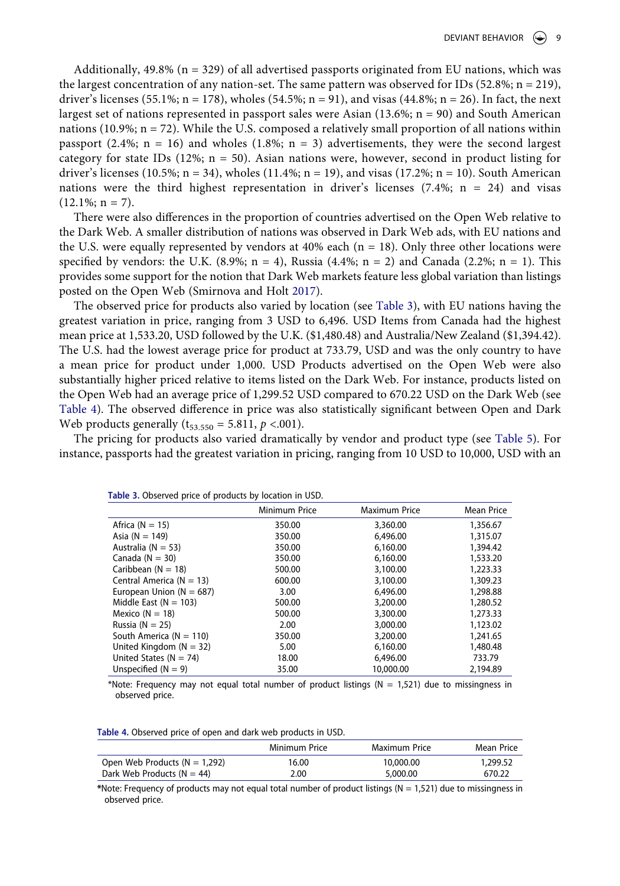Additionally,  $49.8\%$  (n = 329) of all advertised passports originated from EU nations, which was the largest concentration of any nation-set. The same pattern was observed for IDs  $(52.8\%; n = 219)$ , driver's licenses (55.1%; n = 178), wholes (54.5%; n = 91), and visas (44.8%; n = 26). In fact, the next largest set of nations represented in passport sales were Asian  $(13.6\%; n = 90)$  and South American nations (10.9%; n = 72). While the U.S. composed a relatively small proportion of all nations within passport (2.4%;  $n = 16$ ) and wholes (1.8%;  $n = 3$ ) advertisements, they were the second largest category for state IDs (12%;  $n = 50$ ). Asian nations were, however, second in product listing for driver's licenses (10.5%; n = 34), wholes (11.4%; n = 19), and visas (17.2%; n = 10). South American nations were the third highest representation in driver's licenses (7.4%; n = 24) and visas  $(12.1\%; n = 7).$ 

There were also differences in the proportion of countries advertised on the Open Web relative to the Dark Web. A smaller distribution of nations was observed in Dark Web ads, with EU nations and the U.S. were equally represented by vendors at  $40\%$  each (n = 18). Only three other locations were specified by vendors: the U.K.  $(8.9\%; n = 4)$ , Russia  $(4.4\%; n = 2)$  and Canada  $(2.2\%; n = 1)$ . This provides some support for the notion that Dark Web markets feature less global variation than listings posted on the Open Web (Smirnova and Holt [2017\)](#page-17-14).

The observed price for products also varied by location (see [Table 3\)](#page-8-0), with EU nations having the greatest variation in price, ranging from 3 USD to 6,496. USD Items from Canada had the highest mean price at 1,533.20, USD followed by the U.K. (\$1,480.48) and Australia/New Zealand (\$1,394.42). The U.S. had the lowest average price for product at 733.79, USD and was the only country to have a mean price for product under 1,000. USD Products advertised on the Open Web were also substantially higher priced relative to items listed on the Dark Web. For instance, products listed on the Open Web had an average price of 1,299.52 USD compared to 670.22 USD on the Dark Web (see [Table 4\)](#page-8-1). The observed difference in price was also statistically significant between Open and Dark Web products generally  $(t_{53,550} = 5.811, p < .001)$ .

The pricing for products also varied dramatically by vendor and product type (see [Table 5\)](#page-9-0). For instance, passports had the greatest variation in pricing, ranging from 10 USD to 10,000, USD with an

| Table 3. Observed price of products by location in USD. |               |               |            |
|---------------------------------------------------------|---------------|---------------|------------|
|                                                         | Minimum Price | Maximum Price | Mean Price |
| Africa $(N = 15)$                                       | 350.00        | 3,360.00      | 1,356.67   |
| Asia ( $N = 149$ )                                      | 350.00        | 6,496.00      | 1,315.07   |
| Australia ( $N = 53$ )                                  | 350.00        | 6,160.00      | 1,394.42   |
| Canada $(N = 30)$                                       | 350.00        | 6,160.00      | 1,533.20   |
| Caribbean $(N = 18)$                                    | 500.00        | 3,100.00      | 1,223.33   |
| Central America ( $N = 13$ )                            | 600.00        | 3,100.00      | 1,309.23   |
| European Union ( $N = 687$ )                            | 3.00          | 6,496.00      | 1,298.88   |
| Middle East $(N = 103)$                                 | 500.00        | 3,200.00      | 1,280.52   |
| Mexico ( $N = 18$ )                                     | 500.00        | 3,300.00      | 1,273.33   |
| Russia ( $N = 25$ )                                     | 2.00          | 3,000.00      | 1,123.02   |
| South America ( $N = 110$ )                             | 350.00        | 3,200.00      | 1,241.65   |
| United Kingdom ( $N = 32$ )                             | 5.00          | 6,160.00      | 1,480.48   |
| United States ( $N = 74$ )                              | 18.00         | 6,496.00      | 733.79     |
| Unspecified $(N = 9)$                                   | 35.00         | 10,000.00     | 2.194.89   |

<span id="page-8-0"></span>

|  |  |  | Table 3. Observed price of products by location in USD. |  |  |  |  |
|--|--|--|---------------------------------------------------------|--|--|--|--|
|--|--|--|---------------------------------------------------------|--|--|--|--|

\*Note: Frequency may not equal total number of product listings ( $N = 1,521$ ) due to missingness in observed price.

<span id="page-8-1"></span>

| Table 4. Observed price of open and dark web products in USD. |  |  |  |  |  |  |  |
|---------------------------------------------------------------|--|--|--|--|--|--|--|
|---------------------------------------------------------------|--|--|--|--|--|--|--|

|                                   | Minimum Price | Maximum Price | Mean Price |
|-----------------------------------|---------------|---------------|------------|
| Open Web Products ( $N = 1,292$ ) | 16.00         | 10,000.00     | 1,299.52   |
| Dark Web Products $(N = 44)$      | 2.00          | 5,000.00      | 670.22     |

**\***Note: Frequency of products may not equal total number of product listings (N = 1,521) due to missingness in observed price.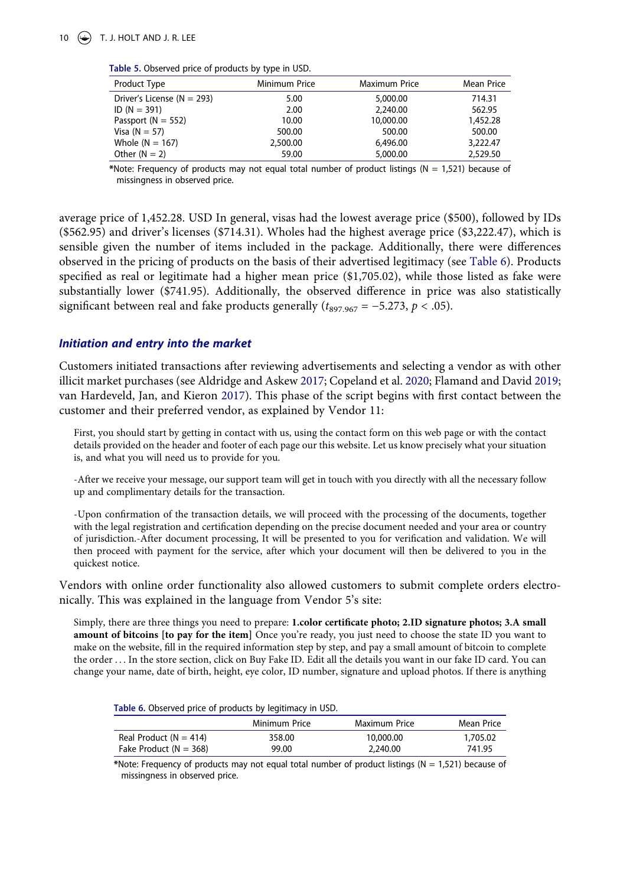# 10  $\left(\bigstar\right)$  T. J. HOLT AND J. R. LEE

| Product Type                   | Minimum Price | Maximum Price | Mean Price |
|--------------------------------|---------------|---------------|------------|
| Driver's License ( $N = 293$ ) | 5.00          | 5,000.00      | 714.31     |
| ID ( $N = 391$ )               | 2.00          | 2,240.00      | 562.95     |
| Passport ( $N = 552$ )         | 10.00         | 10,000.00     | 1,452.28   |
| Visa $(N = 57)$                | 500.00        | 500.00        | 500.00     |
| Whole $(N = 167)$              | 2,500.00      | 6,496.00      | 3,222.47   |
| Other $(N = 2)$                | 59.00         | 5,000.00      | 2,529.50   |

<span id="page-9-0"></span>**Table 5.** Observed price of products by type in USD.

**\***Note: Frequency of products may not equal total number of product listings (N = 1,521) because of missingness in observed price.

average price of 1,452.28. USD In general, visas had the lowest average price (\$500), followed by IDs (\$562.95) and driver's licenses (\$714.31). Wholes had the highest average price (\$3,222.47), which is sensible given the number of items included in the package. Additionally, there were differences observed in the pricing of products on the basis of their advertised legitimacy (see [Table 6\)](#page-9-1). Products specified as real or legitimate had a higher mean price (\$1,705.02), while those listed as fake were substantially lower (\$741.95). Additionally, the observed difference in price was also statistically significant between real and fake products generally  $(t_{897.967} = -5.273, p < .05)$ .

### *Initiation and entry into the market*

Customers initiated transactions after reviewing advertisements and selecting a vendor as with other illicit market purchases (see Aldridge and Askew [2017](#page-15-4); Copeland et al. [2020;](#page-16-14) Flamand and David [2019;](#page-16-24) van Hardeveld, Jan, and Kieron [2017](#page-17-17)). This phase of the script begins with first contact between the customer and their preferred vendor, as explained by Vendor 11:

First, you should start by getting in contact with us, using the contact form on this web page or with the contact details provided on the header and footer of each page our this website. Let us know precisely what your situation is, and what you will need us to provide for you.

-After we receive your message, our support team will get in touch with you directly with all the necessary follow up and complimentary details for the transaction.

-Upon confirmation of the transaction details, we will proceed with the processing of the documents, together with the legal registration and certification depending on the precise document needed and your area or country of jurisdiction.-After document processing, It will be presented to you for verification and validation. We will then proceed with payment for the service, after which your document will then be delivered to you in the quickest notice.

Vendors with online order functionality also allowed customers to submit complete orders electronically. This was explained in the language from Vendor 5's site:

Simply, there are three things you need to prepare: **1.color certificate photo; 2.ID signature photos; 3.A small amount of bitcoins [to pay for the item]** Once you're ready, you just need to choose the state ID you want to make on the website, fill in the required information step by step, and pay a small amount of bitcoin to complete the order . . . In the store section, click on Buy Fake ID. Edit all the details you want in our fake ID card. You can change your name, date of birth, height, eye color, ID number, signature and upload photos. If there is anything

<span id="page-9-1"></span>

| Table 6. Observed price of products by legitimacy in USD. |  |  |  |
|-----------------------------------------------------------|--|--|--|
|-----------------------------------------------------------|--|--|--|

|                            | Minimum Price | Maximum Price | Mean Price |
|----------------------------|---------------|---------------|------------|
| Real Product ( $N = 414$ ) | 358.00        | 10,000.00     | 1,705.02   |
| Fake Product $(N = 368)$   | 99.00         | 2,240.00      | 741.95     |

**\***Note: Frequency of products may not equal total number of product listings (N = 1,521) because of missingness in observed price.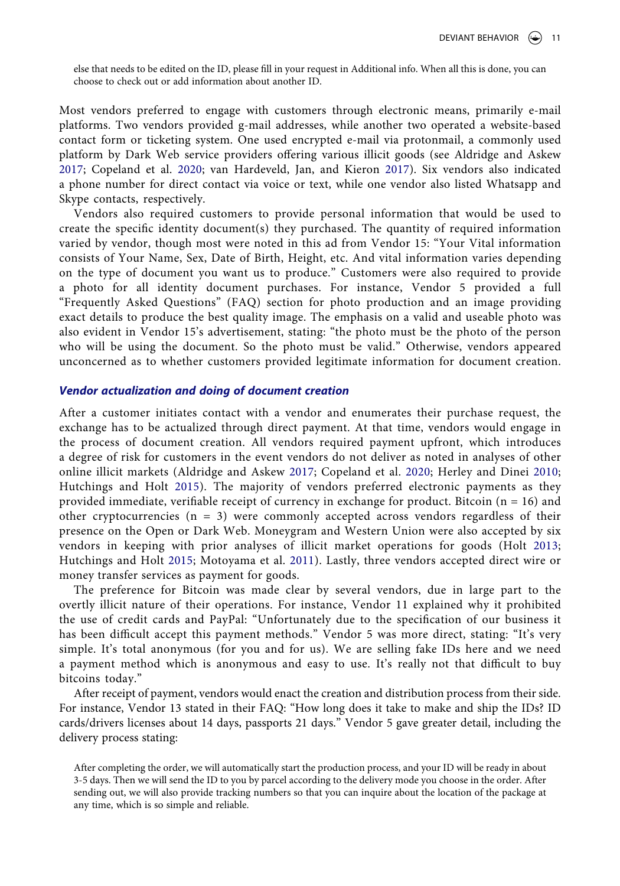else that needs to be edited on the ID, please fill in your request in Additional info. When all this is done, you can choose to check out or add information about another ID.

Most vendors preferred to engage with customers through electronic means, primarily e-mail platforms. Two vendors provided g-mail addresses, while another two operated a website-based contact form or ticketing system. One used encrypted e-mail via protonmail, a commonly used platform by Dark Web service providers offering various illicit goods (see Aldridge and Askew [2017;](#page-15-4) Copeland et al. [2020](#page-16-14); van Hardeveld, Jan, and Kieron [2017\)](#page-17-17). Six vendors also indicated a phone number for direct contact via voice or text, while one vendor also listed Whatsapp and Skype contacts, respectively.

Vendors also required customers to provide personal information that would be used to create the specific identity document(s) they purchased. The quantity of required information varied by vendor, though most were noted in this ad from Vendor 15: "Your Vital information consists of Your Name, Sex, Date of Birth, Height, etc. And vital information varies depending on the type of document you want us to produce." Customers were also required to provide a photo for all identity document purchases. For instance, Vendor 5 provided a full "Frequently Asked Questions" (FAQ) section for photo production and an image providing exact details to produce the best quality image. The emphasis on a valid and useable photo was also evident in Vendor 15's advertisement, stating: "the photo must be the photo of the person who will be using the document. So the photo must be valid." Otherwise, vendors appeared unconcerned as to whether customers provided legitimate information for document creation.

# *Vendor actualization and doing of document creation*

After a customer initiates contact with a vendor and enumerates their purchase request, the exchange has to be actualized through direct payment. At that time, vendors would engage in the process of document creation. All vendors required payment upfront, which introduces a degree of risk for customers in the event vendors do not deliver as noted in analyses of other online illicit markets (Aldridge and Askew [2017](#page-15-4); Copeland et al. [2020;](#page-16-14) Herley and Dinei [2010;](#page-16-21) Hutchings and Holt [2015](#page-16-11)). The majority of vendors preferred electronic payments as they provided immediate, verifiable receipt of currency in exchange for product. Bitcoin (n = 16) and other cryptocurrencies  $(n = 3)$  were commonly accepted across vendors regardless of their presence on the Open or Dark Web. Moneygram and Western Union were also accepted by six vendors in keeping with prior analyses of illicit market operations for goods (Holt [2013;](#page-16-22) Hutchings and Holt [2015;](#page-16-11) Motoyama et al. [2011\)](#page-17-16). Lastly, three vendors accepted direct wire or money transfer services as payment for goods.

The preference for Bitcoin was made clear by several vendors, due in large part to the overtly illicit nature of their operations. For instance, Vendor 11 explained why it prohibited the use of credit cards and PayPal: "Unfortunately due to the specification of our business it has been difficult accept this payment methods." Vendor 5 was more direct, stating: "It's very simple. It's total anonymous (for you and for us). We are selling fake IDs here and we need a payment method which is anonymous and easy to use. It's really not that difficult to buy bitcoins today."

After receipt of payment, vendors would enact the creation and distribution process from their side. For instance, Vendor 13 stated in their FAQ: "How long does it take to make and ship the IDs? ID cards/drivers licenses about 14 days, passports 21 days." Vendor 5 gave greater detail, including the delivery process stating:

After completing the order, we will automatically start the production process, and your ID will be ready in about 3-5 days. Then we will send the ID to you by parcel according to the delivery mode you choose in the order. After sending out, we will also provide tracking numbers so that you can inquire about the location of the package at any time, which is so simple and reliable.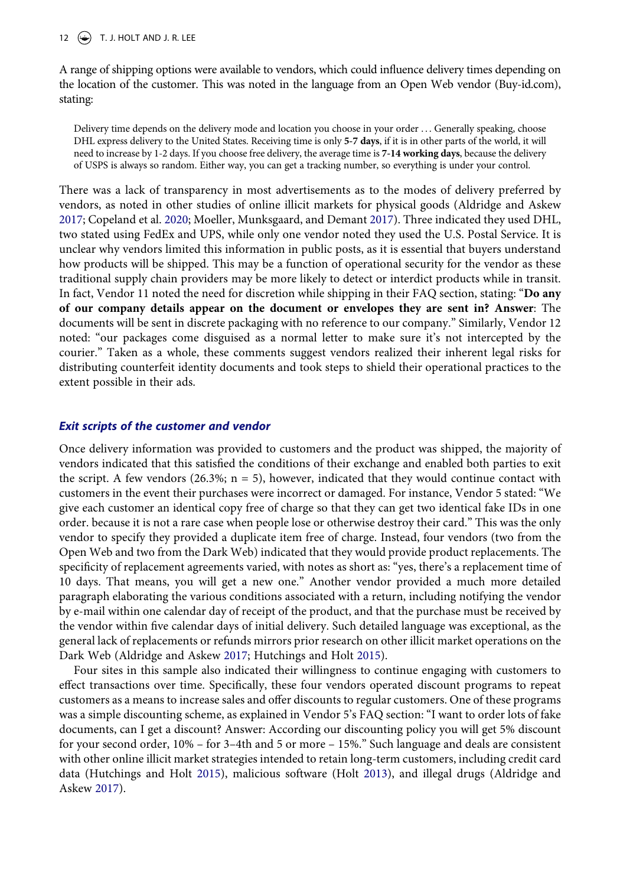# 12  $\left(\rightarrow\right)$  T. J. HOLT AND J. R. LEE

A range of shipping options were available to vendors, which could influence delivery times depending on the location of the customer. This was noted in the language from an Open Web vendor (Buy-id.com), stating:

Delivery time depends on the delivery mode and location you choose in your order . . . Generally speaking, choose DHL express delivery to the United States. Receiving time is only **5-7 days**, if it is in other parts of the world, it will need to increase by 1-2 days. If you choose free delivery, the average time is **7-14 working days**, because the delivery of USPS is always so random. Either way, you can get a tracking number, so everything is under your control.

There was a lack of transparency in most advertisements as to the modes of delivery preferred by vendors, as noted in other studies of online illicit markets for physical goods (Aldridge and Askew [2017](#page-15-4); Copeland et al. [2020;](#page-16-14) Moeller, Munksgaard, and Demant [2017\)](#page-17-18). Three indicated they used DHL, two stated using FedEx and UPS, while only one vendor noted they used the U.S. Postal Service. It is unclear why vendors limited this information in public posts, as it is essential that buyers understand how products will be shipped. This may be a function of operational security for the vendor as these traditional supply chain providers may be more likely to detect or interdict products while in transit. In fact, Vendor 11 noted the need for discretion while shipping in their FAQ section, stating: "**Do any of our company details appear on the document or envelopes they are sent in? Answer**: The documents will be sent in discrete packaging with no reference to our company." Similarly, Vendor 12 noted: "our packages come disguised as a normal letter to make sure it's not intercepted by the courier." Taken as a whole, these comments suggest vendors realized their inherent legal risks for distributing counterfeit identity documents and took steps to shield their operational practices to the extent possible in their ads.

# *Exit scripts of the customer and vendor*

Once delivery information was provided to customers and the product was shipped, the majority of vendors indicated that this satisfied the conditions of their exchange and enabled both parties to exit the script. A few vendors (26.3%;  $n = 5$ ), however, indicated that they would continue contact with customers in the event their purchases were incorrect or damaged. For instance, Vendor 5 stated: "We give each customer an identical copy free of charge so that they can get two identical fake IDs in one order. because it is not a rare case when people lose or otherwise destroy their card." This was the only vendor to specify they provided a duplicate item free of charge. Instead, four vendors (two from the Open Web and two from the Dark Web) indicated that they would provide product replacements. The specificity of replacement agreements varied, with notes as short as: "yes, there's a replacement time of 10 days. That means, you will get a new one." Another vendor provided a much more detailed paragraph elaborating the various conditions associated with a return, including notifying the vendor by e-mail within one calendar day of receipt of the product, and that the purchase must be received by the vendor within five calendar days of initial delivery. Such detailed language was exceptional, as the general lack of replacements or refunds mirrors prior research on other illicit market operations on the Dark Web (Aldridge and Askew [2017](#page-15-4); Hutchings and Holt [2015](#page-16-11)).

Four sites in this sample also indicated their willingness to continue engaging with customers to effect transactions over time. Specifically, these four vendors operated discount programs to repeat customers as a means to increase sales and offer discounts to regular customers. One of these programs was a simple discounting scheme, as explained in Vendor 5's FAQ section: "I want to order lots of fake documents, can I get a discount? Answer: According our discounting policy you will get 5% discount for your second order, 10% – for 3–4th and 5 or more – 15%." Such language and deals are consistent with other online illicit market strategies intended to retain long-term customers, including credit card data (Hutchings and Holt [2015](#page-16-11)), malicious software (Holt [2013\)](#page-16-22), and illegal drugs (Aldridge and Askew [2017\)](#page-15-4).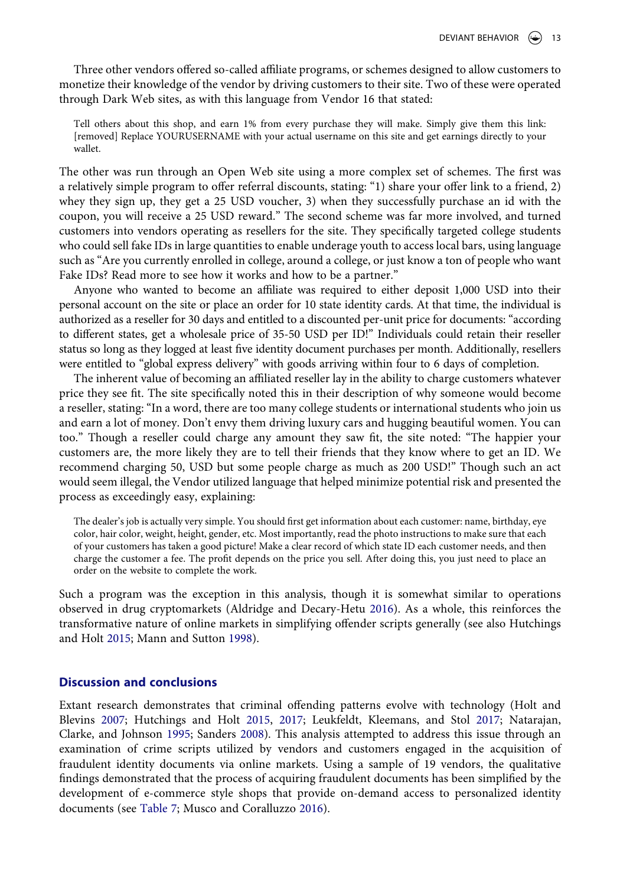Three other vendors offered so-called affiliate programs, or schemes designed to allow customers to monetize their knowledge of the vendor by driving customers to their site. Two of these were operated through Dark Web sites, as with this language from Vendor 16 that stated:

Tell others about this shop, and earn 1% from every purchase they will make. Simply give them this link: [removed] Replace YOURUSERNAME with your actual username on this site and get earnings directly to your wallet.

The other was run through an Open Web site using a more complex set of schemes. The first was a relatively simple program to offer referral discounts, stating: "1) share your offer link to a friend, 2) whey they sign up, they get a 25 USD voucher, 3) when they successfully purchase an id with the coupon, you will receive a 25 USD reward." The second scheme was far more involved, and turned customers into vendors operating as resellers for the site. They specifically targeted college students who could sell fake IDs in large quantities to enable underage youth to access local bars, using language such as "Are you currently enrolled in college, around a college, or just know a ton of people who want Fake IDs? Read more to see how it works and how to be a partner."

Anyone who wanted to become an affiliate was required to either deposit 1,000 USD into their personal account on the site or place an order for 10 state identity cards. At that time, the individual is authorized as a reseller for 30 days and entitled to a discounted per-unit price for documents: "according to different states, get a wholesale price of 35-50 USD per ID!" Individuals could retain their reseller status so long as they logged at least five identity document purchases per month. Additionally, resellers were entitled to "global express delivery" with goods arriving within four to 6 days of completion.

The inherent value of becoming an affiliated reseller lay in the ability to charge customers whatever price they see fit. The site specifically noted this in their description of why someone would become a reseller, stating: "In a word, there are too many college students or international students who join us and earn a lot of money. Don't envy them driving luxury cars and hugging beautiful women. You can too." Though a reseller could charge any amount they saw fit, the site noted: "The happier your customers are, the more likely they are to tell their friends that they know where to get an ID. We recommend charging 50, USD but some people charge as much as 200 USD!" Though such an act would seem illegal, the Vendor utilized language that helped minimize potential risk and presented the process as exceedingly easy, explaining:

The dealer's job is actually very simple. You should first get information about each customer: name, birthday, eye color, hair color, weight, height, gender, etc. Most importantly, read the photo instructions to make sure that each of your customers has taken a good picture! Make a clear record of which state ID each customer needs, and then charge the customer a fee. The profit depends on the price you sell. After doing this, you just need to place an order on the website to complete the work.

Such a program was the exception in this analysis, though it is somewhat similar to operations observed in drug cryptomarkets (Aldridge and Decary-Hetu [2016\)](#page-15-3). As a whole, this reinforces the transformative nature of online markets in simplifying offender scripts generally (see also Hutchings and Holt [2015](#page-16-11); Mann and Sutton [1998](#page-16-15)).

# **Discussion and conclusions**

Extant research demonstrates that criminal offending patterns evolve with technology (Holt and Blevins [2007;](#page-16-7) Hutchings and Holt [2015,](#page-16-11) [2017](#page-16-25); Leukfeldt, Kleemans, and Stol [2017](#page-16-9); Natarajan, Clarke, and Johnson [1995;](#page-17-4) Sanders [2008\)](#page-17-5). This analysis attempted to address this issue through an examination of crime scripts utilized by vendors and customers engaged in the acquisition of fraudulent identity documents via online markets. Using a sample of 19 vendors, the qualitative findings demonstrated that the process of acquiring fraudulent documents has been simplified by the development of e-commerce style shops that provide on-demand access to personalized identity documents (see [Table 7;](#page-13-0) Musco and Coralluzzo [2016\)](#page-17-8).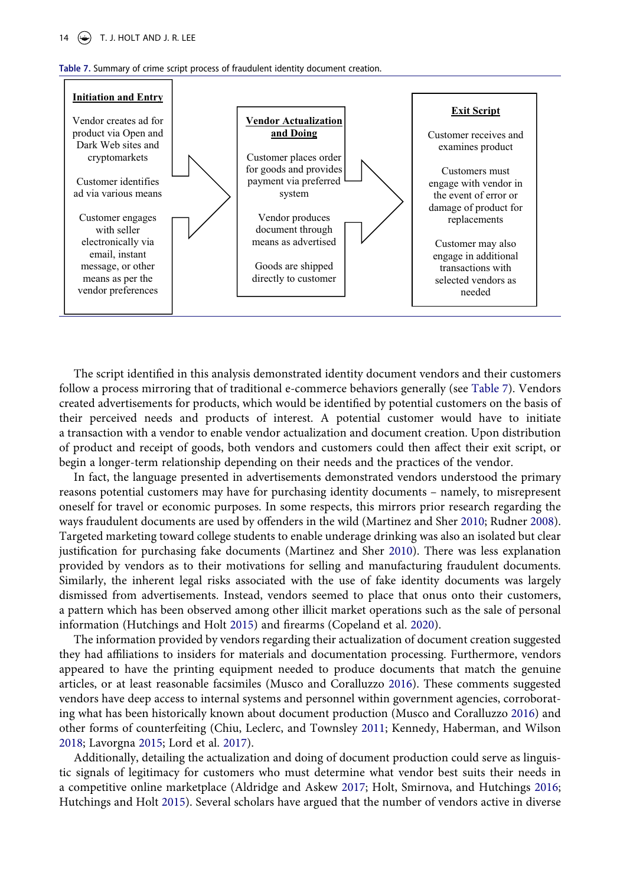<span id="page-13-0"></span>



The script identified in this analysis demonstrated identity document vendors and their customers follow a process mirroring that of traditional e-commerce behaviors generally (see [Table 7](#page-13-0)). Vendors created advertisements for products, which would be identified by potential customers on the basis of their perceived needs and products of interest. A potential customer would have to initiate a transaction with a vendor to enable vendor actualization and document creation. Upon distribution of product and receipt of goods, both vendors and customers could then affect their exit script, or begin a longer-term relationship depending on their needs and the practices of the vendor.

In fact, the language presented in advertisements demonstrated vendors understood the primary reasons potential customers may have for purchasing identity documents – namely, to misrepresent oneself for travel or economic purposes. In some respects, this mirrors prior research regarding the ways fraudulent documents are used by offenders in the wild (Martinez and Sher [2010;](#page-17-7) Rudner [2008](#page-17-9)). Targeted marketing toward college students to enable underage drinking was also an isolated but clear justification for purchasing fake documents (Martinez and Sher [2010](#page-17-7)). There was less explanation provided by vendors as to their motivations for selling and manufacturing fraudulent documents. Similarly, the inherent legal risks associated with the use of fake identity documents was largely dismissed from advertisements. Instead, vendors seemed to place that onus onto their customers, a pattern which has been observed among other illicit market operations such as the sale of personal information (Hutchings and Holt [2015](#page-16-11)) and firearms (Copeland et al. [2020\)](#page-16-14).

The information provided by vendors regarding their actualization of document creation suggested they had affiliations to insiders for materials and documentation processing. Furthermore, vendors appeared to have the printing equipment needed to produce documents that match the genuine articles, or at least reasonable facsimiles (Musco and Coralluzzo [2016](#page-17-8)). These comments suggested vendors have deep access to internal systems and personnel within government agencies, corroborating what has been historically known about document production (Musco and Coralluzzo [2016\)](#page-17-8) and other forms of counterfeiting (Chiu, Leclerc, and Townsley [2011;](#page-16-17) Kennedy, Haberman, and Wilson [2018](#page-16-19); Lavorgna [2015](#page-16-20); Lord et al. [2017\)](#page-16-18).

Additionally, detailing the actualization and doing of document production could serve as linguistic signals of legitimacy for customers who must determine what vendor best suits their needs in a competitive online marketplace (Aldridge and Askew [2017;](#page-15-4) Holt, Smirnova, and Hutchings [2016;](#page-16-26) Hutchings and Holt [2015\)](#page-16-11). Several scholars have argued that the number of vendors active in diverse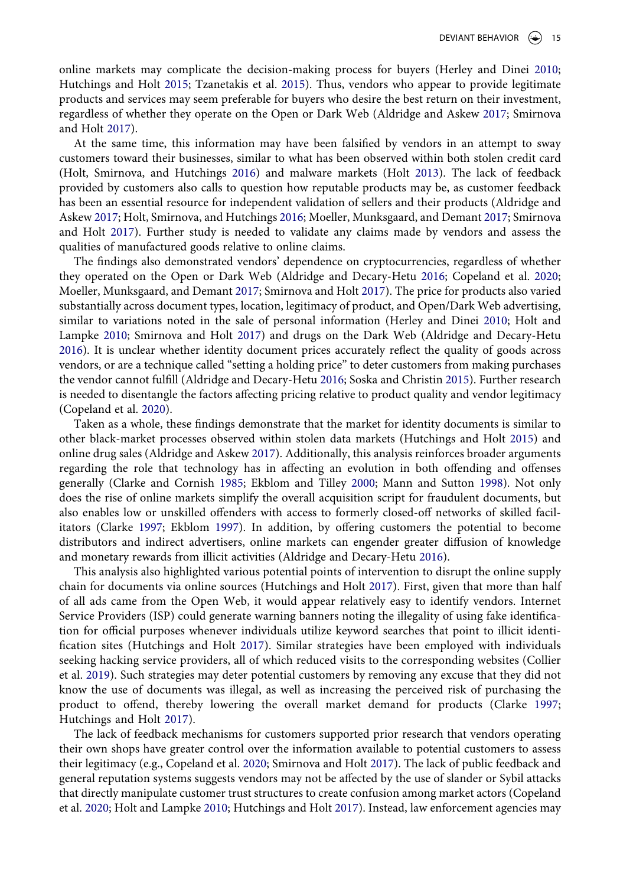online markets may complicate the decision-making process for buyers (Herley and Dinei [2010;](#page-16-21) Hutchings and Holt [2015](#page-16-11); Tzanetakis et al. [2015](#page-17-15)). Thus, vendors who appear to provide legitimate products and services may seem preferable for buyers who desire the best return on their investment, regardless of whether they operate on the Open or Dark Web (Aldridge and Askew [2017;](#page-15-4) Smirnova and Holt [2017](#page-17-14)).

At the same time, this information may have been falsified by vendors in an attempt to sway customers toward their businesses, similar to what has been observed within both stolen credit card (Holt, Smirnova, and Hutchings [2016\)](#page-16-26) and malware markets (Holt [2013\)](#page-16-22). The lack of feedback provided by customers also calls to question how reputable products may be, as customer feedback has been an essential resource for independent validation of sellers and their products (Aldridge and Askew [2017;](#page-15-4) Holt, Smirnova, and Hutchings [2016;](#page-16-26) Moeller, Munksgaard, and Demant [2017;](#page-17-18) Smirnova and Holt [2017](#page-17-14)). Further study is needed to validate any claims made by vendors and assess the qualities of manufactured goods relative to online claims.

The findings also demonstrated vendors' dependence on cryptocurrencies, regardless of whether they operated on the Open or Dark Web (Aldridge and Decary-Hetu [2016;](#page-15-3) Copeland et al. [2020;](#page-16-14) Moeller, Munksgaard, and Demant [2017;](#page-17-18) Smirnova and Holt [2017](#page-17-14)). The price for products also varied substantially across document types, location, legitimacy of product, and Open/Dark Web advertising, similar to variations noted in the sale of personal information (Herley and Dinei [2010](#page-16-21); Holt and Lampke [2010](#page-16-23); Smirnova and Holt [2017](#page-17-14)) and drugs on the Dark Web (Aldridge and Decary-Hetu [2016](#page-15-3)). It is unclear whether identity document prices accurately reflect the quality of goods across vendors, or are a technique called "setting a holding price" to deter customers from making purchases the vendor cannot fulfill (Aldridge and Decary-Hetu [2016;](#page-15-3) Soska and Christin [2015](#page-17-19)). Further research is needed to disentangle the factors affecting pricing relative to product quality and vendor legitimacy (Copeland et al. [2020](#page-16-14)).

<span id="page-14-1"></span>Taken as a whole, these findings demonstrate that the market for identity documents is similar to other black-market processes observed within stolen data markets (Hutchings and Holt [2015\)](#page-16-11) and online drug sales (Aldridge and Askew [2017\)](#page-15-4). Additionally, this analysis reinforces broader arguments regarding the role that technology has in affecting an evolution in both offending and offenses generally (Clarke and Cornish [1985;](#page-16-3) Ekblom and Tilley [2000;](#page-16-6) Mann and Sutton [1998\)](#page-16-15). Not only does the rise of online markets simplify the overall acquisition script for fraudulent documents, but also enables low or unskilled offenders with access to formerly closed-off networks of skilled facilitators (Clarke [1997;](#page-16-0) Ekblom [1997](#page-16-10)). In addition, by offering customers the potential to become distributors and indirect advertisers, online markets can engender greater diffusion of knowledge and monetary rewards from illicit activities (Aldridge and Decary-Hetu [2016](#page-15-3)).

This analysis also highlighted various potential points of intervention to disrupt the online supply chain for documents via online sources (Hutchings and Holt [2017](#page-16-25)). First, given that more than half of all ads came from the Open Web, it would appear relatively easy to identify vendors. Internet Service Providers (ISP) could generate warning banners noting the illegality of using fake identification for official purposes whenever individuals utilize keyword searches that point to illicit identification sites (Hutchings and Holt [2017\)](#page-16-25). Similar strategies have been employed with individuals seeking hacking service providers, all of which reduced visits to the corresponding websites (Collier et al. [2019](#page-16-27)). Such strategies may deter potential customers by removing any excuse that they did not know the use of documents was illegal, as well as increasing the perceived risk of purchasing the product to offend, thereby lowering the overall market demand for products (Clarke [1997;](#page-16-0) Hutchings and Holt [2017](#page-16-25)).

<span id="page-14-0"></span>The lack of feedback mechanisms for customers supported prior research that vendors operating their own shops have greater control over the information available to potential customers to assess their legitimacy (e.g., Copeland et al. [2020;](#page-16-14) Smirnova and Holt [2017](#page-17-14)). The lack of public feedback and general reputation systems suggests vendors may not be affected by the use of slander or Sybil attacks that directly manipulate customer trust structures to create confusion among market actors (Copeland et al. [2020](#page-16-14); Holt and Lampke [2010](#page-16-23); Hutchings and Holt [2017](#page-16-25)). Instead, law enforcement agencies may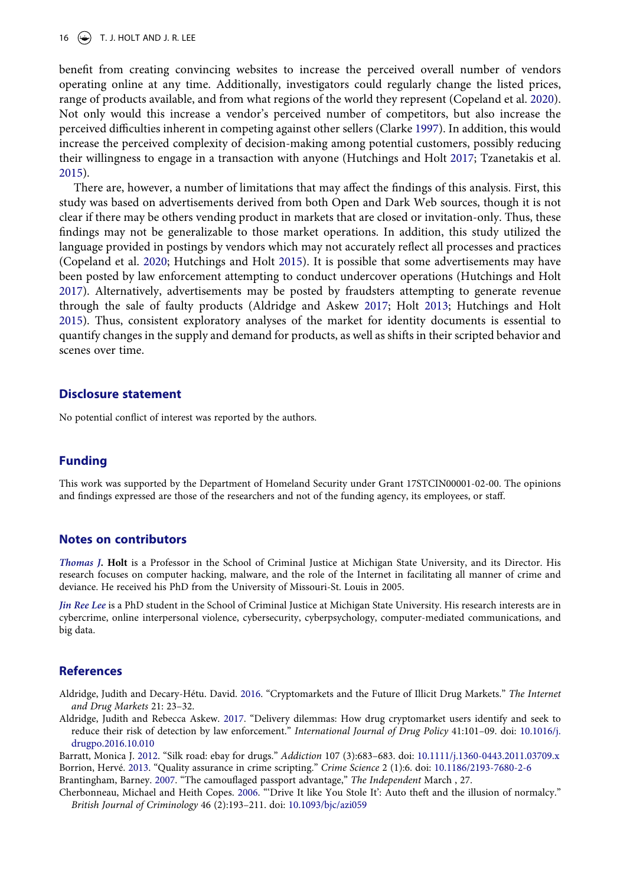benefit from creating convincing websites to increase the perceived overall number of vendors operating online at any time. Additionally, investigators could regularly change the listed prices, range of products available, and from what regions of the world they represent (Copeland et al. [2020](#page-16-14)). Not only would this increase a vendor's perceived number of competitors, but also increase the perceived difficulties inherent in competing against other sellers (Clarke [1997\)](#page-16-0). In addition, this would increase the perceived complexity of decision-making among potential customers, possibly reducing their willingness to engage in a transaction with anyone (Hutchings and Holt [2017](#page-16-25); Tzanetakis et al. [2015](#page-17-15)).

There are, however, a number of limitations that may affect the findings of this analysis. First, this study was based on advertisements derived from both Open and Dark Web sources, though it is not clear if there may be others vending product in markets that are closed or invitation-only. Thus, these findings may not be generalizable to those market operations. In addition, this study utilized the language provided in postings by vendors which may not accurately reflect all processes and practices (Copeland et al. [2020;](#page-16-14) Hutchings and Holt [2015\)](#page-16-11). It is possible that some advertisements may have been posted by law enforcement attempting to conduct undercover operations (Hutchings and Holt [2017](#page-16-25)). Alternatively, advertisements may be posted by fraudsters attempting to generate revenue through the sale of faulty products (Aldridge and Askew [2017](#page-15-4); Holt [2013](#page-16-22); Hutchings and Holt [2015](#page-16-11)). Thus, consistent exploratory analyses of the market for identity documents is essential to quantify changes in the supply and demand for products, as well as shifts in their scripted behavior and scenes over time.

# **Disclosure statement**

No potential conflict of interest was reported by the authors.

# **Funding**

This work was supported by the Department of Homeland Security under Grant 17STCIN00001-02-00. The opinions and findings expressed are those of the researchers and not of the funding agency, its employees, or staff.

### **Notes on contributors**

*Thomas J***. Holt** is a Professor in the School of Criminal Justice at Michigan State University, and its Director. His research focuses on computer hacking, malware, and the role of the Internet in facilitating all manner of crime and deviance. He received his PhD from the University of Missouri-St. Louis in 2005.

*Jin Ree Lee* is a PhD student in the School of Criminal Justice at Michigan State University. His research interests are in cybercrime, online interpersonal violence, cybersecurity, cyberpsychology, computer-mediated communications, and big data.

### **References**

<span id="page-15-3"></span>Aldridge, Judith and Decary-Hétu. David. [2016.](#page-3-0) "Cryptomarkets and the Future of Illicit Drug Markets." *The Internet and Drug Markets* 21: 23–32.

<span id="page-15-4"></span>Aldridge, Judith and Rebecca Askew. [2017](#page-3-1). "Delivery dilemmas: How drug cryptomarket users identify and seek to reduce their risk of detection by law enforcement." *International Journal of Drug Policy* 41:101–09. doi: [10.1016/j.](https://doi.org/10.1016/j.drugpo.2016.10.010)  [drugpo.2016.10.010](https://doi.org/10.1016/j.drugpo.2016.10.010)

<span id="page-15-2"></span><span id="page-15-1"></span>Barratt, Monica J. [2012](#page-3-0). "Silk road: ebay for drugs." *Addiction* 107 (3):683–683. doi: [10.1111/j.1360-0443.2011.03709.x](https://doi.org/10.1111/j.1360-0443.2011.03709.x) Borrion, Hervé. [2013.](#page-2-0) "Quality assurance in crime scripting." *Crime Science* 2 (1):6. doi: [10.1186/2193-7680-2-6](https://doi.org/10.1186/2193-7680-2-6) Brantingham, Barney. [2007](#page-4-1). "The camouflaged passport advantage," *The Independent* March , 27.

<span id="page-15-5"></span><span id="page-15-0"></span>Cherbonneau, Michael and Heith Copes. [2006.](#page-0-1) "'Drive It like You Stole It': Auto theft and the illusion of normalcy." *British Journal of Criminology* 46 (2):193–211. doi: [10.1093/bjc/azi059](https://doi.org/10.1093/bjc/azi059)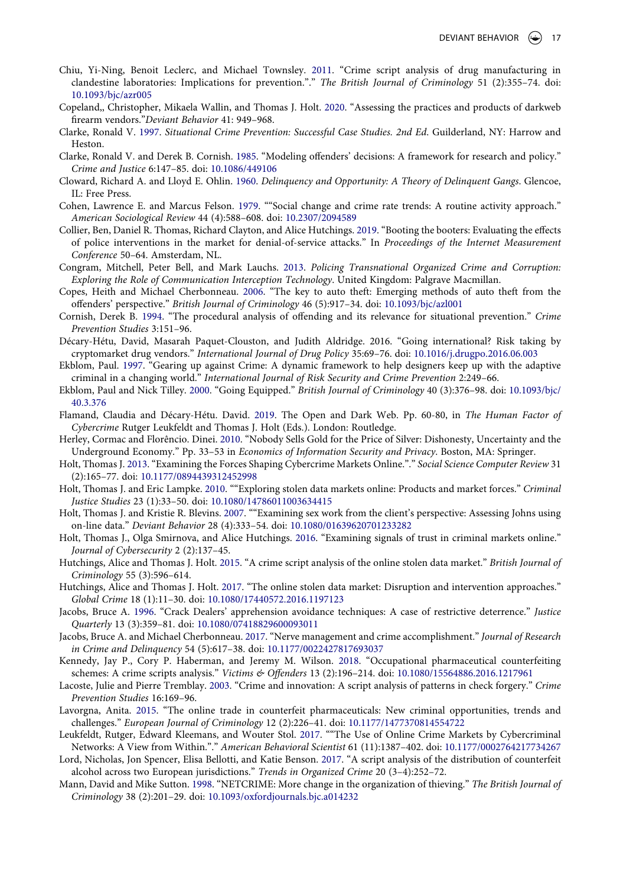- <span id="page-16-17"></span>Chiu, Yi-Ning, Benoit Leclerc, and Michael Townsley. [2011.](#page-1-0) "Crime script analysis of drug manufacturing in clandestine laboratories: Implications for prevention."." *The British Journal of Criminology* 51 (2):355–74. doi: [10.1093/bjc/azr005](https://doi.org/10.1093/bjc/azr005)
- <span id="page-16-14"></span>Copeland,, Christopher, Mikaela Wallin, and Thomas J. Holt. [2020](#page-1-1). "Assessing the practices and products of darkweb firearm vendors."*Deviant Behavior* 41: 949–968.
- <span id="page-16-0"></span>Clarke, Ronald V. [1997](#page-0-2). *Situational Crime Prevention: Successful Case Studies. 2nd Ed*. Guilderland, NY: Harrow and Heston.
- <span id="page-16-3"></span>Clarke, Ronald V. and Derek B. Cornish. [1985](#page-0-3). "Modeling offenders' decisions: A framework for research and policy." *Crime and Justice* 6:147–85. doi: [10.1086/449106](https://doi.org/10.1086/449106)
- <span id="page-16-13"></span>Cloward, Richard A. and Lloyd E. Ohlin. [1960](#page-1-2). *Delinquency and Opportunity: A Theory of Delinquent Gangs*. Glencoe, IL: Free Press.
- <span id="page-16-2"></span>Cohen, Lawrence E. and Marcus Felson. [1979.](#page-0-4) ""Social change and crime rate trends: A routine activity approach." *American Sociological Review* 44 (4):588–608. doi: [10.2307/2094589](https://doi.org/10.2307/2094589)
- <span id="page-16-27"></span>Collier, Ben, Daniel R. Thomas, Richard Clayton, and Alice Hutchings. [2019](#page-14-0). "Booting the booters: Evaluating the effects of police interventions in the market for denial-of-service attacks." In *Proceedings of the Internet Measurement Conference* 50–64. Amsterdam, NL.
- <span id="page-16-8"></span>Congram, Mitchell, Peter Bell, and Mark Lauchs. [2013.](#page-0-5) *Policing Transnational Organized Crime and Corruption: Exploring the Role of Communication Interception Technology*. United Kingdom: Palgrave Macmillan.
- <span id="page-16-5"></span>Copes, Heith and Michael Cherbonneau. [2006.](#page-0-6) "The key to auto theft: Emerging methods of auto theft from the offenders' perspective." *British Journal of Criminology* 46 (5):917–34. doi: [10.1093/bjc/azl001](https://doi.org/10.1093/bjc/azl001)
- <span id="page-16-16"></span>Cornish, Derek B. [1994.](#page-1-3) "The procedural analysis of offending and its relevance for situational prevention." *Crime Prevention Studies* 3:151–96.
- Décary-Hétu, David, Masarah Paquet-Clouston, and Judith Aldridge. 2016. "Going international? Risk taking by cryptomarket drug vendors." *International Journal of Drug Policy* 35:69–76. doi: [10.1016/j.drugpo.2016.06.003](https://doi.org/10.1016/j.drugpo.2016.06.003)
- <span id="page-16-10"></span>Ekblom, Paul. [1997](#page-0-7). "Gearing up against Crime: A dynamic framework to help designers keep up with the adaptive criminal in a changing world." *International Journal of Risk Security and Crime Prevention* 2:249–66.
- <span id="page-16-6"></span>Ekblom, Paul and Nick Tilley. [2000](#page-0-2). "Going Equipped." *British Journal of Criminology* 40 (3):376–98. doi: [10.1093/bjc/](https://doi.org/10.1093/bjc/40.3.376)  [40.3.376](https://doi.org/10.1093/bjc/40.3.376)
- <span id="page-16-24"></span>Flamand, Claudia and Décary-Hétu. David. [2019](#page-3-2). The Open and Dark Web. Pp. 60-80, in *The Human Factor of Cybercrime* Rutger Leukfeldt and Thomas J. Holt (Eds.). London: Routledge.
- <span id="page-16-21"></span>Herley, Cormac and Florêncio. Dinei. [2010](#page-2-1). "Nobody Sells Gold for the Price of Silver: Dishonesty, Uncertainty and the Underground Economy." Pp. 33–53 in *Economics of Information Security and Privacy*. Boston, MA: Springer.
- <span id="page-16-22"></span>Holt, Thomas J. [2013.](#page-2-2) "Examining the Forces Shaping Cybercrime Markets Online."." *Social Science Computer Review* 31 (2):165–77. doi: [10.1177/0894439312452998](https://doi.org/10.1177/0894439312452998)
- <span id="page-16-23"></span>Holt, Thomas J. and Eric Lampke. [2010.](#page-2-3) ""Exploring stolen data markets online: Products and market forces." *Criminal Justice Studies* 23 (1):33–50. doi: [10.1080/14786011003634415](https://doi.org/10.1080/14786011003634415)
- <span id="page-16-7"></span>Holt, Thomas J. and Kristie R. Blevins. [2007](#page-0-8). ""Examining sex work from the client's perspective: Assessing Johns using on-line data." *Deviant Behavior* 28 (4):333–54. doi: [10.1080/01639620701233282](https://doi.org/10.1080/01639620701233282)
- <span id="page-16-26"></span>Holt, Thomas J., Olga Smirnova, and Alice Hutchings. [2016.](#page-3-3) "Examining signals of trust in criminal markets online." *Journal of Cybersecurity* 2 (2):137–45.
- <span id="page-16-11"></span>Hutchings, Alice and Thomas J. Holt. [2015.](#page-1-4) "A crime script analysis of the online stolen data market." *British Journal of Criminology* 55 (3):596–614.
- <span id="page-16-25"></span>Hutchings, Alice and Thomas J. Holt. [2017.](#page-3-4) "The online stolen data market: Disruption and intervention approaches." *Global Crime* 18 (1):11–30. doi: [10.1080/17440572.2016.1197123](https://doi.org/10.1080/17440572.2016.1197123)
- <span id="page-16-1"></span>Jacobs, Bruce A. [1996](#page-0-9). "Crack Dealers' apprehension avoidance techniques: A case of restrictive deterrence." *Justice Quarterly* 13 (3):359–81. doi: [10.1080/07418829600093011](https://doi.org/10.1080/07418829600093011)
- <span id="page-16-4"></span>Jacobs, Bruce A. and Michael Cherbonneau. [2017.](#page-0-1) "Nerve management and crime accomplishment." *Journal of Research in Crime and Delinquency* 54 (5):617–38. doi: [10.1177/0022427817693037](https://doi.org/10.1177/0022427817693037)
- <span id="page-16-19"></span>Kennedy, Jay P., Cory P. Haberman, and Jeremy M. Wilson. [2018.](#page-1-5) "Occupational pharmaceutical counterfeiting schemes: A crime scripts analysis." *Victims & Offenders* 13 (2):196–214. doi: [10.1080/15564886.2016.1217961](https://doi.org/10.1080/15564886.2016.1217961)
- <span id="page-16-12"></span>Lacoste, Julie and Pierre Tremblay. [2003.](#page-1-3) "Crime and innovation: A script analysis of patterns in check forgery." *Crime Prevention Studies* 16:169–96.
- <span id="page-16-20"></span>Lavorgna, Anita. [2015.](#page-1-5) "The online trade in counterfeit pharmaceuticals: New criminal opportunities, trends and challenges." *European Journal of Criminology* 12 (2):226–41. doi: [10.1177/1477370814554722](https://doi.org/10.1177/1477370814554722)
- <span id="page-16-9"></span>Leukfeldt, Rutger, Edward Kleemans, and Wouter Stol. [2017](#page-0-5). ""The Use of Online Crime Markets by Cybercriminal Networks: A View from Within."." *American Behavioral Scientist* 61 (11):1387–402. doi: [10.1177/0002764217734267](https://doi.org/10.1177/0002764217734267)
- <span id="page-16-18"></span>Lord, Nicholas, Jon Spencer, Elisa Bellotti, and Katie Benson. [2017.](#page-1-5) "A script analysis of the distribution of counterfeit alcohol across two European jurisdictions." *Trends in Organized Crime* 20 (3–4):252–72.
- <span id="page-16-15"></span>Mann, David and Mike Sutton. [1998](#page-1-6). "NETCRIME: More change in the organization of thieving." *The British Journal of Criminology* 38 (2):201–29. doi: [10.1093/oxfordjournals.bjc.a014232](https://doi.org/10.1093/oxfordjournals.bjc.a014232)